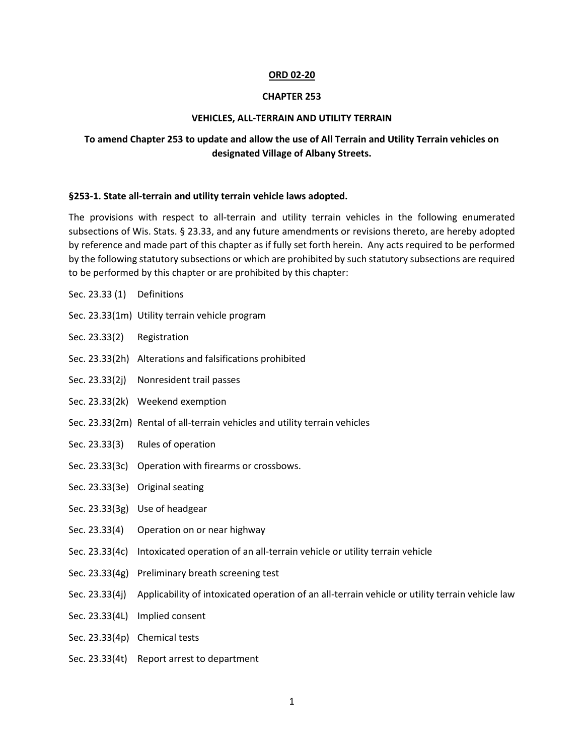#### **ORD 02-20**

#### **CHAPTER 253**

### **VEHICLES, ALL-TERRAIN AND UTILITY TERRAIN**

# **To amend Chapter 253 to update and allow the use of All Terrain and Utility Terrain vehicles on designated Village of Albany Streets.**

#### **§253-1. State all-terrain and utility terrain vehicle laws adopted.**

The provisions with respect to all-terrain and utility terrain vehicles in the following enumerated subsections of Wis. Stats. § 23.33, and any future amendments or revisions thereto, are hereby adopted by reference and made part of this chapter as if fully set forth herein. Any acts required to be performed by the following statutory subsections or which are prohibited by such statutory subsections are required to be performed by this chapter or are prohibited by this chapter:

- Sec. 23.33(1m) Utility terrain vehicle program
- Sec. 23.33(2) Registration

Sec. 23.33 (1) Definitions

- Sec. 23.33(2h) Alterations and falsifications prohibited
- Sec. 23.33(2j) Nonresident trail passes
- Sec. 23.33(2k) Weekend exemption
- Sec. 23.33(2m) Rental of all-terrain vehicles and utility terrain vehicles
- Sec. 23.33(3) Rules of operation
- Sec. 23.33(3c) Operation with firearms or crossbows.
- Sec. 23.33(3e) Original seating
- Sec. 23.33(3g) Use of headgear
- Sec. 23.33(4) Operation on or near highway
- Sec. 23.33(4c) Intoxicated operation of an all-terrain vehicle or utility terrain vehicle
- Sec. 23.33(4g) Preliminary breath screening test
- Sec. 23.33(4j) Applicability of intoxicated operation of an all-terrain vehicle or utility terrain vehicle law
- Sec. 23.33(4L) Implied consent
- Sec. 23.33(4p) Chemical tests
- Sec. 23.33(4t) Report arrest to department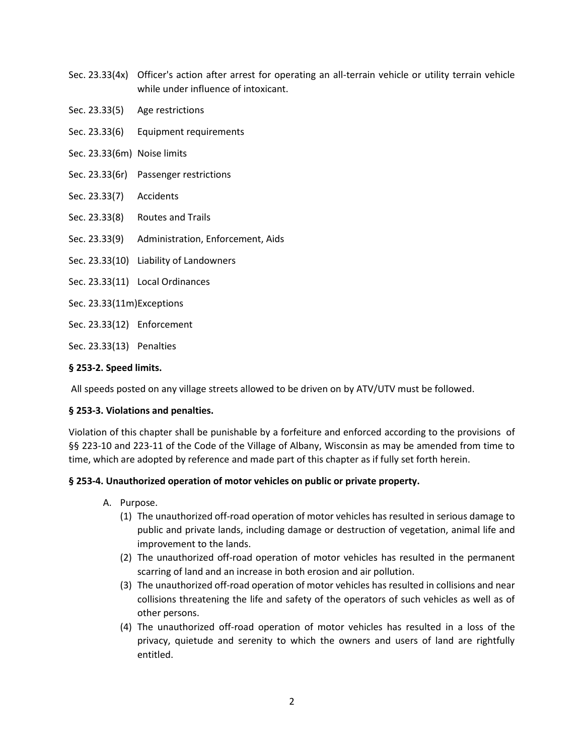- Sec. 23.33(4x) Officer's action after arrest for operating an all-terrain vehicle or utility terrain vehicle while under influence of intoxicant.
- Sec. 23.33(5) Age restrictions
- Sec. 23.33(6) Equipment requirements
- Sec. 23.33(6m) Noise limits
- Sec. 23.33(6r) Passenger restrictions
- Sec. 23.33(7) Accidents
- Sec. 23.33(8) Routes and Trails
- Sec. 23.33(9) Administration, Enforcement, Aids
- Sec. 23.33(10) Liability of Landowners
- Sec. 23.33(11) Local Ordinances
- Sec. 23.33(11m)Exceptions
- Sec. 23.33(12) Enforcement
- Sec. 23.33(13) Penalties

# **§ 253-2. Speed limits.**

All speeds posted on any village streets allowed to be driven on by ATV/UTV must be followed.

# **§ 253-3. Violations and penalties.**

Violation of this chapter shall be punishable by a forfeiture and enforced according to the provisions of §§ 223-10 and 223-11 of the Code of the Village of Albany, Wisconsin as may be amended from time to time, which are adopted by reference and made part of this chapter as if fully set forth herein.

# **§ 253-4. Unauthorized operation of motor vehicles on public or private property.**

- A. Purpose.
	- (1) The unauthorized off-road operation of motor vehicles has resulted in serious damage to public and private lands, including damage or destruction of vegetation, animal life and improvement to the lands.
	- (2) The unauthorized off-road operation of motor vehicles has resulted in the permanent scarring of land and an increase in both erosion and air pollution.
	- (3) The unauthorized off-road operation of motor vehicles has resulted in collisions and near collisions threatening the life and safety of the operators of such vehicles as well as of other persons.
	- (4) The unauthorized off-road operation of motor vehicles has resulted in a loss of the privacy, quietude and serenity to which the owners and users of land are rightfully entitled.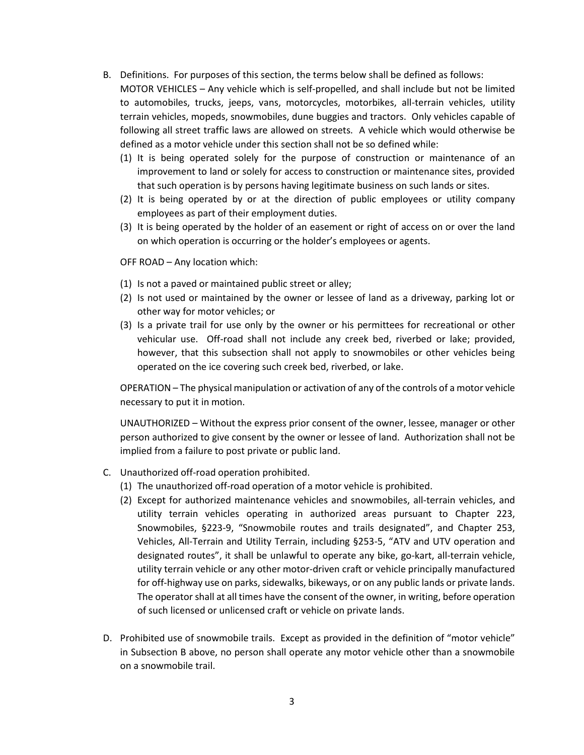- B. Definitions. For purposes of this section, the terms below shall be defined as follows: MOTOR VEHICLES – Any vehicle which is self-propelled, and shall include but not be limited to automobiles, trucks, jeeps, vans, motorcycles, motorbikes, all-terrain vehicles, utility terrain vehicles, mopeds, snowmobiles, dune buggies and tractors. Only vehicles capable of following all street traffic laws are allowed on streets. A vehicle which would otherwise be defined as a motor vehicle under this section shall not be so defined while:
	- (1) It is being operated solely for the purpose of construction or maintenance of an improvement to land or solely for access to construction or maintenance sites, provided that such operation is by persons having legitimate business on such lands or sites.
	- (2) It is being operated by or at the direction of public employees or utility company employees as part of their employment duties.
	- (3) It is being operated by the holder of an easement or right of access on or over the land on which operation is occurring or the holder's employees or agents.

OFF ROAD – Any location which:

- (1) Is not a paved or maintained public street or alley;
- (2) Is not used or maintained by the owner or lessee of land as a driveway, parking lot or other way for motor vehicles; or
- (3) Is a private trail for use only by the owner or his permittees for recreational or other vehicular use. Off-road shall not include any creek bed, riverbed or lake; provided, however, that this subsection shall not apply to snowmobiles or other vehicles being operated on the ice covering such creek bed, riverbed, or lake.

OPERATION – The physical manipulation or activation of any of the controls of a motor vehicle necessary to put it in motion.

UNAUTHORIZED – Without the express prior consent of the owner, lessee, manager or other person authorized to give consent by the owner or lessee of land. Authorization shall not be implied from a failure to post private or public land.

- C. Unauthorized off-road operation prohibited.
	- (1) The unauthorized off-road operation of a motor vehicle is prohibited.
	- (2) Except for authorized maintenance vehicles and snowmobiles, all-terrain vehicles, and utility terrain vehicles operating in authorized areas pursuant to Chapter 223, Snowmobiles, §223-9, "Snowmobile routes and trails designated", and Chapter 253, Vehicles, All-Terrain and Utility Terrain, including §253-5, "ATV and UTV operation and designated routes", it shall be unlawful to operate any bike, go-kart, all-terrain vehicle, utility terrain vehicle or any other motor-driven craft or vehicle principally manufactured for off-highway use on parks, sidewalks, bikeways, or on any public lands or private lands. The operator shall at all times have the consent of the owner, in writing, before operation of such licensed or unlicensed craft or vehicle on private lands.
- D. Prohibited use of snowmobile trails. Except as provided in the definition of "motor vehicle" in Subsection B above, no person shall operate any motor vehicle other than a snowmobile on a snowmobile trail.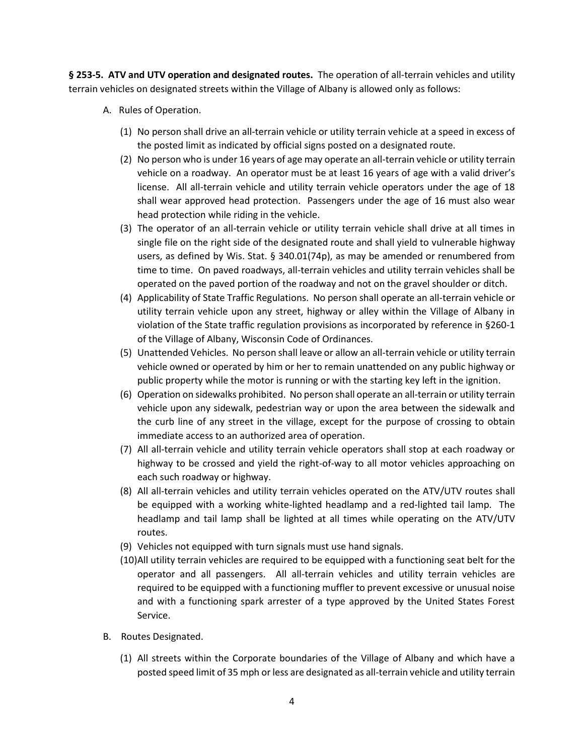**§ 253-5. ATV and UTV operation and designated routes.** The operation of all-terrain vehicles and utility terrain vehicles on designated streets within the Village of Albany is allowed only as follows:

- A. Rules of Operation.
	- (1) No person shall drive an all-terrain vehicle or utility terrain vehicle at a speed in excess of the posted limit as indicated by official signs posted on a designated route.
	- (2) No person who is under 16 years of age may operate an all-terrain vehicle or utility terrain vehicle on a roadway. An operator must be at least 16 years of age with a valid driver's license. All all-terrain vehicle and utility terrain vehicle operators under the age of 18 shall wear approved head protection. Passengers under the age of 16 must also wear head protection while riding in the vehicle.
	- (3) The operator of an all-terrain vehicle or utility terrain vehicle shall drive at all times in single file on the right side of the designated route and shall yield to vulnerable highway users, as defined by Wis. Stat. § 340.01(74p), as may be amended or renumbered from time to time. On paved roadways, all-terrain vehicles and utility terrain vehicles shall be operated on the paved portion of the roadway and not on the gravel shoulder or ditch.
	- (4) Applicability of State Traffic Regulations. No person shall operate an all-terrain vehicle or utility terrain vehicle upon any street, highway or alley within the Village of Albany in violation of the State traffic regulation provisions as incorporated by reference in §260-1 of the Village of Albany, Wisconsin Code of Ordinances.
	- (5) Unattended Vehicles. No person shall leave or allow an all-terrain vehicle or utility terrain vehicle owned or operated by him or her to remain unattended on any public highway or public property while the motor is running or with the starting key left in the ignition.
	- (6) Operation on sidewalks prohibited. No person shall operate an all-terrain or utility terrain vehicle upon any sidewalk, pedestrian way or upon the area between the sidewalk and the curb line of any street in the village, except for the purpose of crossing to obtain immediate access to an authorized area of operation.
	- (7) All all-terrain vehicle and utility terrain vehicle operators shall stop at each roadway or highway to be crossed and yield the right-of-way to all motor vehicles approaching on each such roadway or highway.
	- (8) All all-terrain vehicles and utility terrain vehicles operated on the ATV/UTV routes shall be equipped with a working white-lighted headlamp and a red-lighted tail lamp. The headlamp and tail lamp shall be lighted at all times while operating on the ATV/UTV routes.
	- (9) Vehicles not equipped with turn signals must use hand signals.
	- (10)All utility terrain vehicles are required to be equipped with a functioning seat belt for the operator and all passengers. All all-terrain vehicles and utility terrain vehicles are required to be equipped with a functioning muffler to prevent excessive or unusual noise and with a functioning spark arrester of a type approved by the United States Forest Service.
- B. Routes Designated.
	- (1) All streets within the Corporate boundaries of the Village of Albany and which have a posted speed limit of 35 mph or less are designated as all-terrain vehicle and utility terrain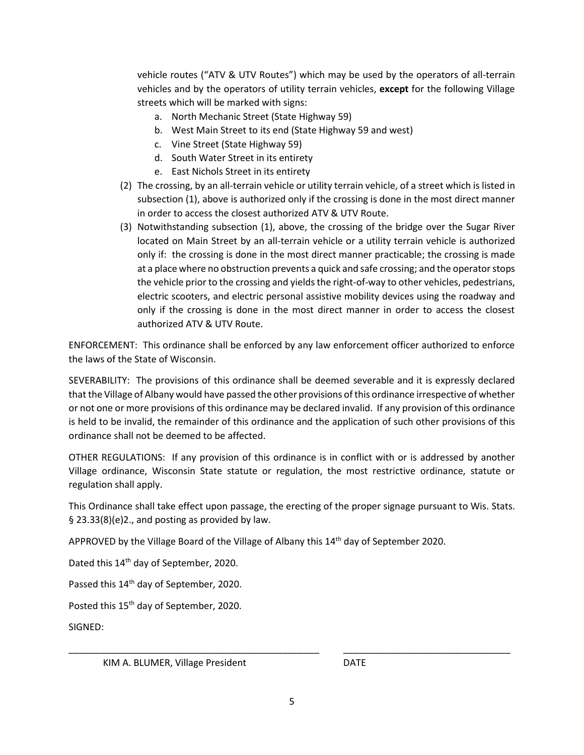vehicle routes ("ATV & UTV Routes") which may be used by the operators of all-terrain vehicles and by the operators of utility terrain vehicles, **except** for the following Village streets which will be marked with signs:

- a. North Mechanic Street (State Highway 59)
- b. West Main Street to its end (State Highway 59 and west)
- c. Vine Street (State Highway 59)
- d. South Water Street in its entirety
- e. East Nichols Street in its entirety
- (2) The crossing, by an all-terrain vehicle or utility terrain vehicle, of a street which is listed in subsection (1), above is authorized only if the crossing is done in the most direct manner in order to access the closest authorized ATV & UTV Route.
- (3) Notwithstanding subsection (1), above, the crossing of the bridge over the Sugar River located on Main Street by an all-terrain vehicle or a utility terrain vehicle is authorized only if: the crossing is done in the most direct manner practicable; the crossing is made at a place where no obstruction prevents a quick and safe crossing; and the operator stops the vehicle prior to the crossing and yields the right-of-way to other vehicles, pedestrians, electric scooters, and electric personal assistive mobility devices using the roadway and only if the crossing is done in the most direct manner in order to access the closest authorized ATV & UTV Route.

ENFORCEMENT: This ordinance shall be enforced by any law enforcement officer authorized to enforce the laws of the State of Wisconsin.

SEVERABILITY: The provisions of this ordinance shall be deemed severable and it is expressly declared that the Village of Albany would have passed the other provisions of this ordinance irrespective of whether or not one or more provisions of this ordinance may be declared invalid. If any provision of this ordinance is held to be invalid, the remainder of this ordinance and the application of such other provisions of this ordinance shall not be deemed to be affected.

OTHER REGULATIONS: If any provision of this ordinance is in conflict with or is addressed by another Village ordinance, Wisconsin State statute or regulation, the most restrictive ordinance, statute or regulation shall apply.

This Ordinance shall take effect upon passage, the erecting of the proper signage pursuant to Wis. Stats. § 23.33(8)(e)2., and posting as provided by law.

APPROVED by the Village Board of the Village of Albany this 14th day of September 2020.

Dated this 14th day of September, 2020.

Passed this 14<sup>th</sup> day of September, 2020.

Posted this 15<sup>th</sup> day of September, 2020.

SIGNED:

KIM A. BLUMER, Village President National Account DATE

\_\_\_\_\_\_\_\_\_\_\_\_\_\_\_\_\_\_\_\_\_\_\_\_\_\_\_\_\_\_\_\_\_\_\_\_\_\_\_\_\_\_\_\_\_\_\_\_ \_\_\_\_\_\_\_\_\_\_\_\_\_\_\_\_\_\_\_\_\_\_\_\_\_\_\_\_\_\_\_\_